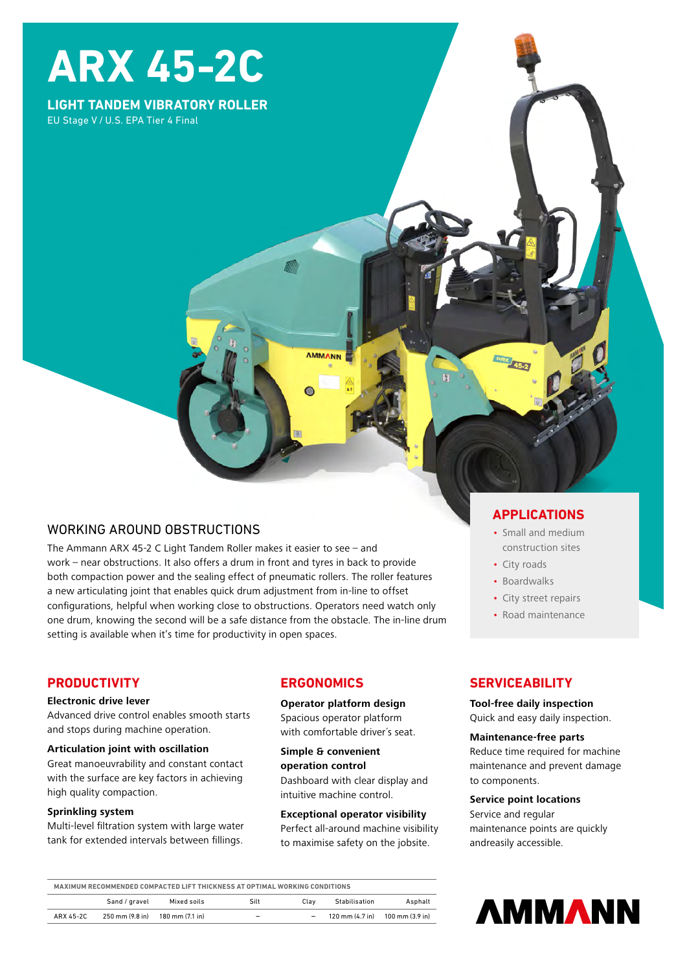# **ARX 45-2C**

**LIGHT TANDEM VIBRATORY ROLLER** EU Stage V / U.S. EPA Tier 4 Final

## WORKING AROUND OBSTRUCTIONS

The Ammann ARX 45-2 C Light Tandem Roller makes it easier to see – and work – near obstructions. It also offers a drum in front and tyres in back to provide both compaction power and the sealing effect of pneumatic rollers. The roller features a new articulating joint that enables quick drum adjustment from in-line to offset configurations, helpful when working close to obstructions. Operators need watch only one drum, knowing the second will be a safe distance from the obstacle. The in-line drum setting is available when it's time for productivity in open spaces.

## **PRODUCTIVITY**

#### **Electronic drive lever**

Advanced drive control enables smooth starts and stops during machine operation.

#### **Articulation joint with oscillation**

Great manoeuvrability and constant contact with the surface are key factors in achieving high quality compaction.

#### **Sprinkling system**

Multi-level filtration system with large water tank for extended intervals between fillings.

## **ERGONOMICS**

**AMMANN** 

**Operator platform design** Spacious operator platform with comfortable driver´s seat.

**Simple & convenient operation control**  Dashboard with clear display and intuitive machine control.

#### **Exceptional operator visibility**

Perfect all-around machine visibility to maximise safety on the jobsite.

## **APPLICATIONS**

- Small and medium construction sites
- City roads
- Boardwalks
- City street repairs
- Road maintenance

## **SERVICEABILITY**

#### **Tool-free daily inspection**

Quick and easy daily inspection.

#### **Maintenance-free parts**

Reduce time required for machine maintenance and prevent damage to components.

#### **Service point locations**

Service and regular maintenance points are quickly andreasily accessible.

| MAXIMUM RECOMMENDED COMPACTED LIFT THICKNESS AT OPTIMAL WORKING CONDITIONS |                 |                 |                          |      |               |                                                                     |
|----------------------------------------------------------------------------|-----------------|-----------------|--------------------------|------|---------------|---------------------------------------------------------------------|
|                                                                            | Sand / gravel   | Mixed soils     | Silt                     | Clav | Stabilisation | Asphalt                                                             |
| ARX 45-2C                                                                  | 250 mm (9.8 in) | 180 mm (7.1 in) | $\overline{\phantom{a}}$ | -    |               | $120 \text{ mm} (4.7 \text{ in})$ $100 \text{ mm} (3.9 \text{ in})$ |

**AMMANN**